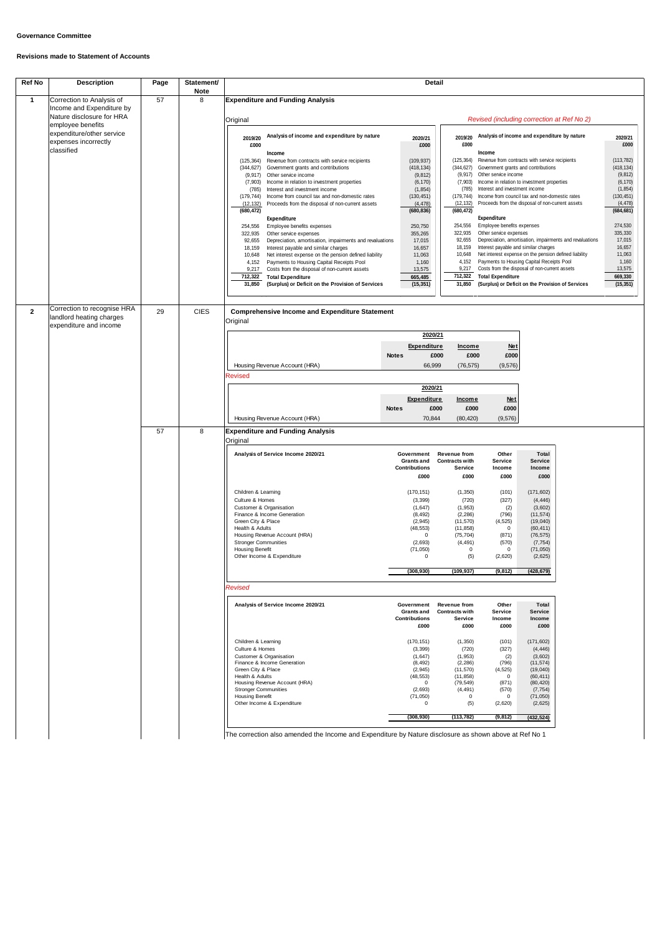## **Governance Committee**

## **Revisions made to Statement of Accounts**

*Revised*

The correction also amended the Income and Expenditure by Nature disclosure as shown above at Ref No 1

| <b>Ref No</b> | <b>Description</b>                                 | Page | Statement/       | <b>Detail</b>                                                                                                     |                      |                                              |                               |                                                                                                         |                       |                 |                  |
|---------------|----------------------------------------------------|------|------------------|-------------------------------------------------------------------------------------------------------------------|----------------------|----------------------------------------------|-------------------------------|---------------------------------------------------------------------------------------------------------|-----------------------|-----------------|------------------|
|               | Correction to Analysis of                          | 57   | <b>Note</b><br>8 |                                                                                                                   |                      |                                              |                               |                                                                                                         |                       |                 |                  |
|               | Income and Expenditure by                          |      |                  | <b>Expenditure and Funding Analysis</b>                                                                           |                      |                                              |                               |                                                                                                         |                       |                 |                  |
|               | Nature disclosure for HRA                          |      |                  |                                                                                                                   |                      | Revised (including correction at Ref No 2)   |                               |                                                                                                         |                       |                 |                  |
|               | employee benefits                                  |      |                  | Original                                                                                                          |                      |                                              |                               |                                                                                                         |                       |                 |                  |
|               | expenditure/other service                          |      |                  | Analysis of income and expenditure by nature                                                                      | 2019/20              | Analysis of income and expenditure by nature |                               |                                                                                                         |                       |                 |                  |
|               | expenses incorrectly                               |      |                  | 2019/20<br>£000                                                                                                   | 2020/21<br>£000      | £000                                         |                               |                                                                                                         |                       | 2020/21<br>£000 |                  |
|               | classified                                         |      |                  | <b>Income</b>                                                                                                     |                      |                                              |                               | Income                                                                                                  |                       |                 |                  |
|               |                                                    |      |                  | Revenue from contracts with service recipients<br>(125, 364)                                                      |                      | (109, 937)                                   | (125, 364)                    | Revenue from contracts with service recipients                                                          |                       |                 | (113, 782)       |
|               |                                                    |      |                  | (344, 627)<br>Government grants and contributions                                                                 |                      | (418, 134)                                   | (344, 627)                    | Government grants and contributions                                                                     |                       |                 | (418, 134)       |
|               |                                                    |      |                  | Other service income<br>(9, 917)<br>Income in relation to investment properties<br>(7,903)                        |                      | (9, 812)<br>(6, 170)                         | (9, 917)<br>(7, 903)          | Other service income<br>Income in relation to investment properties                                     | (9, 812)<br>(6, 170)  |                 |                  |
|               |                                                    |      |                  | Interest and investment income<br>(785)                                                                           |                      | (1, 854)                                     | (785)                         | Interest and investment income                                                                          | (1, 854)              |                 |                  |
|               |                                                    |      |                  | Income from council tax and non-domestic rates<br>(179, 744)                                                      |                      | (130, 451)                                   | (179, 744)                    | Income from council tax and non-domestic rates                                                          | (130, 451)            |                 |                  |
|               |                                                    |      |                  | Proceeds from the disposal of non-current assets<br>(12, 132)                                                     |                      | (4, 478)                                     | (12, 132)                     | Proceeds from the disposal of non-current assets                                                        |                       |                 | (4, 478)         |
|               |                                                    |      |                  | (680, 472)<br>Expenditure                                                                                         |                      | (680, 836)                                   | (680, 472)                    | Expenditure                                                                                             |                       | (684, 681)      |                  |
|               |                                                    |      |                  | Employee benefits expenses<br>254,556                                                                             |                      | 250,750                                      | 254,556                       | Employee benefits expenses                                                                              |                       | 274,530         |                  |
|               |                                                    |      |                  | 322,935<br>Other service expenses                                                                                 |                      | 355,265                                      | 322,935                       | Other service expenses                                                                                  | 335,330               |                 |                  |
|               |                                                    |      |                  | 92,655<br>Depreciation, amortisation, impairments and revaluations                                                |                      | 17,015                                       | 92,655                        | Depreciation, amortisation, impairments and revaluations                                                |                       | 17,015          |                  |
|               |                                                    |      |                  | 18,159<br>Interest payable and similar charges<br>Net interest expense on the pension defined liability<br>10,648 |                      | 16,657<br>11,063                             | 18,159                        | Interest payable and similar charges<br>Net interest expense on the pension defined liability<br>10,648 |                       |                 | 16,657<br>11,063 |
|               |                                                    |      |                  | Payments to Housing Capital Receipts Pool<br>4,152                                                                |                      | 1,160                                        | 4,152                         | Payments to Housing Capital Receipts Pool                                                               |                       |                 | 1,160            |
|               |                                                    |      |                  | Costs from the disposal of non-current assets<br>9,217                                                            |                      | 13,575                                       | 9,217                         | Costs from the disposal of non-current assets                                                           |                       |                 | 13,575           |
|               |                                                    |      |                  | 712,322<br><b>Total Expenditure</b>                                                                               |                      | 665,485                                      | 712,322                       | <b>Total Expenditure</b>                                                                                |                       |                 | 669,330          |
|               |                                                    |      |                  | 31,850<br>(Surplus) or Deficit on the Provision of Services                                                       |                      | (15, 351)                                    | 31,850                        | (Surplus) or Deficit on the Provision of Services                                                       |                       |                 | (15, 351)        |
|               |                                                    |      |                  |                                                                                                                   |                      |                                              |                               |                                                                                                         |                       |                 |                  |
|               | landlord heating charges<br>expenditure and income |      |                  | Original                                                                                                          | <b>Notes</b>         | 2020/21<br><b>Expenditure</b>                | <b>Income</b><br>£000<br>£000 | <b>Net</b><br>£000                                                                                      |                       |                 |                  |
|               |                                                    |      |                  | Housing Revenue Account (HRA)                                                                                     | 66,999               |                                              | (76, 575)                     | (9, 576)                                                                                                |                       |                 |                  |
|               |                                                    |      |                  | <b>Revised</b>                                                                                                    | 2020/21              |                                              |                               |                                                                                                         |                       |                 |                  |
|               |                                                    |      |                  |                                                                                                                   |                      |                                              |                               |                                                                                                         |                       |                 |                  |
|               |                                                    |      |                  |                                                                                                                   | <b>Expenditure</b>   |                                              | <b>Income</b>                 | <b>Net</b>                                                                                              |                       |                 |                  |
|               |                                                    |      |                  |                                                                                                                   | £000<br><b>Notes</b> |                                              | £000                          | £000                                                                                                    |                       |                 |                  |
|               |                                                    |      |                  | Housing Revenue Account (HRA)                                                                                     | 70,844               |                                              | (80, 420)                     | (9,576)                                                                                                 |                       |                 |                  |
|               |                                                    |      |                  |                                                                                                                   |                      |                                              |                               |                                                                                                         |                       |                 |                  |
|               |                                                    | 57   | 8                | <b>Expenditure and Funding Analysis</b>                                                                           | Government           |                                              |                               |                                                                                                         |                       |                 |                  |
|               |                                                    |      |                  | Original                                                                                                          |                      |                                              |                               |                                                                                                         |                       |                 |                  |
|               |                                                    |      |                  | Analysis of Service Income 2020/21                                                                                |                      |                                              | Other<br><b>Revenue from</b>  |                                                                                                         | <b>Total</b>          |                 |                  |
|               |                                                    |      |                  |                                                                                                                   | <b>Grants and</b>    |                                              | <b>Contracts with</b>         | <b>Service</b>                                                                                          | <b>Service</b>        |                 |                  |
|               |                                                    |      |                  |                                                                                                                   | <b>Contributions</b> |                                              | <b>Service</b><br>£000        | <b>Income</b><br>£000                                                                                   | <b>Income</b><br>£000 |                 |                  |
|               |                                                    |      |                  |                                                                                                                   |                      | £000                                         |                               |                                                                                                         |                       |                 |                  |
|               |                                                    |      |                  | Children & Learning                                                                                               |                      | (170, 151)                                   | (1, 350)                      | (101)                                                                                                   | (171, 602)            |                 |                  |
|               |                                                    |      |                  | Culture & Homes                                                                                                   |                      | (3, 399)                                     | (720)                         | (327)                                                                                                   | (4, 446)              |                 |                  |
|               |                                                    |      |                  | <b>Customer &amp; Organisation</b>                                                                                |                      | (1,647)                                      | (1, 953)                      | (2)                                                                                                     | (3,602)               |                 |                  |
|               |                                                    |      |                  | Finance & Income Generation<br>Green City & Place                                                                 |                      | (8, 492)<br>(2,945)                          | (2, 286)<br>(11, 570)         | (796)<br>(4, 525)                                                                                       | (11, 574)<br>(19,040) |                 |                  |
|               |                                                    |      |                  | Health & Adults                                                                                                   |                      | (48, 553)                                    | (11, 858)                     | $\mathbf 0$                                                                                             | (60, 411)             |                 |                  |
|               |                                                    |      |                  | Housing Revenue Account (HRA)                                                                                     |                      |                                              | (75, 704)                     | (871)                                                                                                   | (76, 575)             |                 |                  |
|               |                                                    |      |                  | <b>Stronger Communities</b><br><b>Housing Benefit</b>                                                             | (2,693)<br>(71, 050) |                                              | (4, 491)<br>$\mathbf{0}$      | (570)<br>$\overline{0}$                                                                                 | (7, 754)<br>(71, 050) |                 |                  |
|               |                                                    |      |                  | Other Income & Expenditure                                                                                        |                      |                                              | (5)                           | (2,620)                                                                                                 | (2,625)               |                 |                  |
|               |                                                    |      |                  |                                                                                                                   | (308, 930)           |                                              | (109, 937)                    | (9, 812)                                                                                                | (428, 679)            |                 |                  |
|               |                                                    |      |                  |                                                                                                                   |                      |                                              |                               |                                                                                                         |                       |                 |                  |

| <b>Analysis of Service Income 2020/21</b> | Government<br><b>Grants and</b><br><b>Contributions</b> | Revenue from<br><b>Contracts with</b><br><b>Service</b> | <b>Other</b><br><b>Service</b><br><b>Income</b> | Total<br><b>Service</b><br><b>Income</b> |
|-------------------------------------------|---------------------------------------------------------|---------------------------------------------------------|-------------------------------------------------|------------------------------------------|
|                                           | £000                                                    | £000                                                    | £000                                            | £000                                     |
| Children & Learning                       | (170, 151)                                              | (1,350)                                                 | (101)                                           | (171, 602)                               |
| Culture & Homes                           | (3, 399)                                                | (720)                                                   | (327)                                           | (4, 446)                                 |
| <b>Customer &amp; Organisation</b>        | (1,647)                                                 | (1, 953)                                                | (2)                                             | (3,602)                                  |
| Finance & Income Generation               | (8, 492)                                                | (2, 286)                                                | (796)                                           | (11, 574)                                |
| Green City & Place                        | (2, 945)                                                | (11, 570)                                               | (4, 525)                                        | (19,040)                                 |
| Health & Adults                           | (48, 553)                                               | (11, 858)                                               | 0                                               | (60, 411)                                |
| Housing Revenue Account (HRA)             | 0                                                       | (79, 549)                                               | (871)                                           | (80, 420)                                |
| <b>Stronger Communities</b>               | (2,693)                                                 | (4, 491)                                                | (570)                                           | (7, 754)                                 |
| Housing Benefit                           | (71, 050)                                               | 0                                                       | 0                                               | (71,050)                                 |
| Other Income & Expenditure                | 0                                                       | (5)                                                     | (2,620)                                         | (2,625)                                  |
|                                           | (308, 930)                                              | (113, 782)                                              | (9, 812)                                        | (432, 524)                               |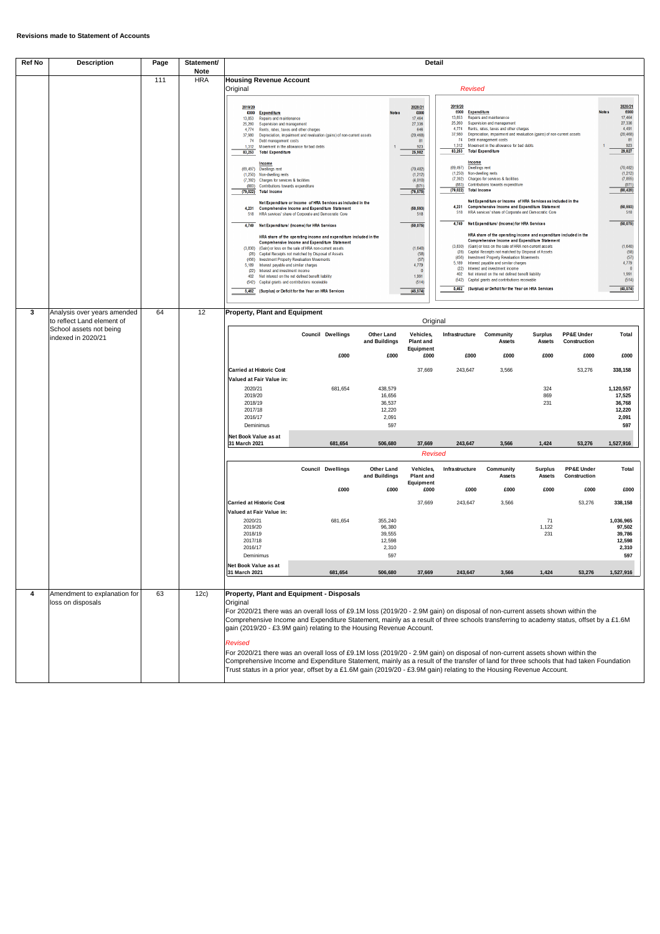| <b>Ref No</b> | <b>Description</b>                                                          | Page | Statement/<br><b>Note</b> | <b>Detail</b>                                                                                                                                                                                                                                                                                                                                                                                                                                                                                                                                                                                                                                                                                                                                                                                                                                                                                                                                                                                                                                                                                                        |                                                                                                                                                                                                                                          |                 |                                                       |                                                                                                                                                                                                                                             |                                                    |                                                                                                                                                                                                |                                                                                                                                                                                                                                                                                                                                                                                                                                                                                                                                                                                                                                                                                                                                                                                                                                                                                                                                                                                                                                                                                                                                                                                   |                                         |                                               |                                                                                                                                                                                                                                                                       |
|---------------|-----------------------------------------------------------------------------|------|---------------------------|----------------------------------------------------------------------------------------------------------------------------------------------------------------------------------------------------------------------------------------------------------------------------------------------------------------------------------------------------------------------------------------------------------------------------------------------------------------------------------------------------------------------------------------------------------------------------------------------------------------------------------------------------------------------------------------------------------------------------------------------------------------------------------------------------------------------------------------------------------------------------------------------------------------------------------------------------------------------------------------------------------------------------------------------------------------------------------------------------------------------|------------------------------------------------------------------------------------------------------------------------------------------------------------------------------------------------------------------------------------------|-----------------|-------------------------------------------------------|---------------------------------------------------------------------------------------------------------------------------------------------------------------------------------------------------------------------------------------------|----------------------------------------------------|------------------------------------------------------------------------------------------------------------------------------------------------------------------------------------------------|-----------------------------------------------------------------------------------------------------------------------------------------------------------------------------------------------------------------------------------------------------------------------------------------------------------------------------------------------------------------------------------------------------------------------------------------------------------------------------------------------------------------------------------------------------------------------------------------------------------------------------------------------------------------------------------------------------------------------------------------------------------------------------------------------------------------------------------------------------------------------------------------------------------------------------------------------------------------------------------------------------------------------------------------------------------------------------------------------------------------------------------------------------------------------------------|-----------------------------------------|-----------------------------------------------|-----------------------------------------------------------------------------------------------------------------------------------------------------------------------------------------------------------------------------------------------------------------------|
|               |                                                                             | 111  | <b>HRA</b>                | <b>Housing Revenue Account</b><br>Original                                                                                                                                                                                                                                                                                                                                                                                                                                                                                                                                                                                                                                                                                                                                                                                                                                                                                                                                                                                                                                                                           |                                                                                                                                                                                                                                          |                 |                                                       |                                                                                                                                                                                                                                             |                                                    | <b>Revised</b>                                                                                                                                                                                 |                                                                                                                                                                                                                                                                                                                                                                                                                                                                                                                                                                                                                                                                                                                                                                                                                                                                                                                                                                                                                                                                                                                                                                                   |                                         |                                               |                                                                                                                                                                                                                                                                       |
|               |                                                                             |      |                           | 2019/20<br>£000<br><b>Expenditure</b><br>13,853<br>Repairs and maintenance<br>Supervision and management<br>25,260<br>4,774 Rents, rates, taxes and other charges<br>37,980 Depreciation, impairment and revaluation (gains) of non-current assets<br>74 Debt management costs<br>1.312 Movement in the allowance for bad debts<br>83,253 Total Expenditure<br>Income<br>(69,497) Dwellings rent<br>(1.250) Non-dwelling rents<br>(7,392) Charges for services & facilities<br>Contributions towards expenditure<br>(883)<br>(79,022) Total Income<br>4,231 Comprehensive Income and Expenditure Statement<br>518 HRA services' share of Corporate and Democratic Core<br>4,749 Net Expenditure/ (Income) for HRA Services<br>(3,830) (Gain) or loss on the sale of HRA non-current assets<br>(28) Capital Receipts not matched by Disposal of Assets<br>(456) Investment Property Revaluation Movements<br>5,189 Interest payable and similar charges<br>(22) Interest and investment income<br>402 Net interest on the net defined benefit liability<br>(542) Capital grants and contributions receivable<br>5,462 | Net Expenditure or Income of HRA Services as included in the<br>HRA share of the operating income and expenditure included in the<br>Comprehensive Income and Expenditure Statement<br>(Surplus) or Deficit for the Year on HRA Services |                 |                                                       | 2020/21<br>£000<br>Note <sub>s</sub><br>17,464<br>27,336<br>646<br>(20, 468)<br>923<br>25,982<br>(70, 482)<br>(1, 212)<br>(4,010)<br>(871)<br>(76, 575)<br>(50, 593)<br>518<br>(50, 075)<br>(1,640)<br>4,779<br>1,991<br>(514)<br>(45, 574) | 81<br>(58)<br>(57)<br>$\mathbf{0}$                 | 2019/20<br>£000 Expenditure<br>13,853<br>25,260<br>37,980<br>1,312<br>83,253<br>Income<br>Dwellings rent<br>(69, 497)<br>(1,250) Non-dwelling rents<br>$(79,022)$ Total Income<br>(456)<br>402 | Repairs and maintenance<br>Supervision and management<br>4,774 Rents, rates, taxes and other charges<br>Depreciation, impairment and revaluation (gains) of non-current assets<br>74 Debt management costs<br>Movement in the allowance for bad debts<br><b>Total Expenditure</b><br>(7,392) Charges for services & facilities<br>(883) Contributions towards expenditure<br>Net Expenditure or Income of HRA Services as included in the<br>4,231 Comprehensive Income and Expenditure Statement<br>518 HRA services' share of Corporate and Democratic Core<br>4,749 Net Expenditure/ (Income) for HRA Services<br>HRA share of the operating income and expenditure included in the<br>Comprehensive Income and Expenditure Statement<br>(3,830) (Gain) or loss on the sale of HRA non-current assets<br>(28) Capital Receipts not matched by Disposal of Assets<br><b>Investment Property Revaluation Movements</b><br>5,189 Interest payable and similar charges<br>(22) Interest and investment income<br>Net interest on the net defined benefit liability<br>(542) Capital grants and contributions receivable<br>5,462 (Surplus) or Deficit for the Year on HRA Services |                                         |                                               | 2020/21<br>£000<br>Note s<br>17,464<br>27,336<br>4,491<br>(20, 468)<br>81<br>923<br>29,827<br>(70, 482)<br>(1, 212)<br>(7, 855)<br>(871)<br>(80, 420)<br>(50, 593)<br>518<br>(50, 075)<br>(1,640)<br>(58)<br>(57)<br>4,779<br>$\Omega$<br>1,991<br>(514)<br>(45, 574) |
| $\mathbf{3}$  | Analysis over years amended                                                 | 64   | 12                        | <b>Property, Plant and Equipment</b>                                                                                                                                                                                                                                                                                                                                                                                                                                                                                                                                                                                                                                                                                                                                                                                                                                                                                                                                                                                                                                                                                 |                                                                                                                                                                                                                                          |                 |                                                       |                                                                                                                                                                                                                                             |                                                    |                                                                                                                                                                                                |                                                                                                                                                                                                                                                                                                                                                                                                                                                                                                                                                                                                                                                                                                                                                                                                                                                                                                                                                                                                                                                                                                                                                                                   |                                         |                                               |                                                                                                                                                                                                                                                                       |
|               | to reflect Land element of<br>School assets not being<br>indexed in 2020/21 |      |                           |                                                                                                                                                                                                                                                                                                                                                                                                                                                                                                                                                                                                                                                                                                                                                                                                                                                                                                                                                                                                                                                                                                                      | <b>Council Dwellings</b>                                                                                                                                                                                                                 |                 | <b>Other Land</b><br>and Buildings                    | <b>Plant and</b>                                                                                                                                                                                                                            | Original<br>Vehicles,<br><b>Equipment</b>          | Infrastructure                                                                                                                                                                                 | Community<br><b>Assets</b>                                                                                                                                                                                                                                                                                                                                                                                                                                                                                                                                                                                                                                                                                                                                                                                                                                                                                                                                                                                                                                                                                                                                                        | <b>Surplus</b><br>Assets                | <b>PP&amp;E Under</b><br>Construction         | <b>Total</b>                                                                                                                                                                                                                                                          |
|               |                                                                             |      |                           | <b>Carried at Historic Cost</b><br>Valued at Fair Value in:<br>2020/21<br>2019/20                                                                                                                                                                                                                                                                                                                                                                                                                                                                                                                                                                                                                                                                                                                                                                                                                                                                                                                                                                                                                                    |                                                                                                                                                                                                                                          | £000<br>681,654 | £000<br>438,579<br>16,656                             |                                                                                                                                                                                                                                             | £000<br>37,669                                     | £000<br>243,647                                                                                                                                                                                | £000<br>3,566                                                                                                                                                                                                                                                                                                                                                                                                                                                                                                                                                                                                                                                                                                                                                                                                                                                                                                                                                                                                                                                                                                                                                                     | £000<br>324<br>869                      | £000<br>53,276                                | £000<br>338,158<br>1,120,557<br>17,525                                                                                                                                                                                                                                |
|               |                                                                             |      |                           | 2018/19<br>2017/18<br>2016/17<br>Deminimus<br>Net Book Value as at                                                                                                                                                                                                                                                                                                                                                                                                                                                                                                                                                                                                                                                                                                                                                                                                                                                                                                                                                                                                                                                   |                                                                                                                                                                                                                                          |                 | 36,537<br>12,220<br>2,091<br>597                      |                                                                                                                                                                                                                                             |                                                    |                                                                                                                                                                                                |                                                                                                                                                                                                                                                                                                                                                                                                                                                                                                                                                                                                                                                                                                                                                                                                                                                                                                                                                                                                                                                                                                                                                                                   | 231                                     |                                               | 36,768<br>12,220<br>2,091<br>597                                                                                                                                                                                                                                      |
|               |                                                                             |      |                           | 31 March 2021                                                                                                                                                                                                                                                                                                                                                                                                                                                                                                                                                                                                                                                                                                                                                                                                                                                                                                                                                                                                                                                                                                        |                                                                                                                                                                                                                                          | 681,654         | 506,680                                               |                                                                                                                                                                                                                                             | 37,669<br><b>Revised</b>                           | 243,647                                                                                                                                                                                        | 3,566                                                                                                                                                                                                                                                                                                                                                                                                                                                                                                                                                                                                                                                                                                                                                                                                                                                                                                                                                                                                                                                                                                                                                                             | 1,424                                   | 53,276                                        | 1,527,916                                                                                                                                                                                                                                                             |
|               |                                                                             |      |                           |                                                                                                                                                                                                                                                                                                                                                                                                                                                                                                                                                                                                                                                                                                                                                                                                                                                                                                                                                                                                                                                                                                                      | <b>Council Dwellings</b>                                                                                                                                                                                                                 | £000            | <b>Other Land</b><br>and Buildings<br>£000            |                                                                                                                                                                                                                                             | Vehicles,<br><b>Plant and</b><br>Equipment<br>£000 | Infrastructure<br>£000                                                                                                                                                                         | Community<br><b>Assets</b><br>£000                                                                                                                                                                                                                                                                                                                                                                                                                                                                                                                                                                                                                                                                                                                                                                                                                                                                                                                                                                                                                                                                                                                                                | <b>Surplus</b><br><b>Assets</b><br>£000 | <b>PP&amp;E Under</b><br>Construction<br>£000 | <b>Total</b><br>£000                                                                                                                                                                                                                                                  |
|               |                                                                             |      |                           | <b>Carried at Historic Cost</b><br>Valued at Fair Value in:                                                                                                                                                                                                                                                                                                                                                                                                                                                                                                                                                                                                                                                                                                                                                                                                                                                                                                                                                                                                                                                          |                                                                                                                                                                                                                                          |                 |                                                       |                                                                                                                                                                                                                                             | 37,669                                             | 243,647                                                                                                                                                                                        | 3,566                                                                                                                                                                                                                                                                                                                                                                                                                                                                                                                                                                                                                                                                                                                                                                                                                                                                                                                                                                                                                                                                                                                                                                             |                                         | 53,276                                        | 338,158                                                                                                                                                                                                                                                               |
|               |                                                                             |      |                           | 2020/21<br>2019/20<br>2018/19<br>2017/18<br>2016/17<br>Deminimus                                                                                                                                                                                                                                                                                                                                                                                                                                                                                                                                                                                                                                                                                                                                                                                                                                                                                                                                                                                                                                                     |                                                                                                                                                                                                                                          | 681,654         | 355,240<br>96,380<br>39,555<br>12,598<br>2,310<br>597 |                                                                                                                                                                                                                                             |                                                    |                                                                                                                                                                                                |                                                                                                                                                                                                                                                                                                                                                                                                                                                                                                                                                                                                                                                                                                                                                                                                                                                                                                                                                                                                                                                                                                                                                                                   | 71<br>1,122<br>231                      |                                               | 1,036,965<br>97,502<br>39,786<br>12,598<br>2,310<br>597                                                                                                                                                                                                               |
|               |                                                                             |      |                           | Net Book Value as at<br>31 March 2021                                                                                                                                                                                                                                                                                                                                                                                                                                                                                                                                                                                                                                                                                                                                                                                                                                                                                                                                                                                                                                                                                |                                                                                                                                                                                                                                          | 681,654         | 506,680                                               |                                                                                                                                                                                                                                             | 37,669                                             | 243,647                                                                                                                                                                                        | 3,566                                                                                                                                                                                                                                                                                                                                                                                                                                                                                                                                                                                                                                                                                                                                                                                                                                                                                                                                                                                                                                                                                                                                                                             | 1,424                                   | 53,276                                        | 1,527,916                                                                                                                                                                                                                                                             |
| 4             | Amendment to explanation for<br>loss on disposals                           | 63   | 12c)                      | <b>Property, Plant and Equipment - Disposals</b><br>Original<br>For 2020/21 there was an overall loss of £9.1M loss (2019/20 - 2.9M gain) on disposal of non-current assets shown within the<br>Comprehensive Income and Expenditure Statement, mainly as a result of three schools transferring to academy status, offset by a £1.6M<br>gain (2019/20 - £3.9M gain) relating to the Housing Revenue Account.<br><b>Revised</b><br>For 2020/21 there was an overall loss of £9.1M loss (2019/20 - 2.9M gain) on disposal of non-current assets shown within the<br>Comprehensive Income and Expenditure Statement, mainly as a result of the transfer of land for three schools that had taken Foundation<br>Trust status in a prior year, offset by a £1.6M gain (2019/20 - £3.9M gain) relating to the Housing Revenue Account.                                                                                                                                                                                                                                                                                    |                                                                                                                                                                                                                                          |                 |                                                       |                                                                                                                                                                                                                                             |                                                    |                                                                                                                                                                                                |                                                                                                                                                                                                                                                                                                                                                                                                                                                                                                                                                                                                                                                                                                                                                                                                                                                                                                                                                                                                                                                                                                                                                                                   |                                         |                                               |                                                                                                                                                                                                                                                                       |